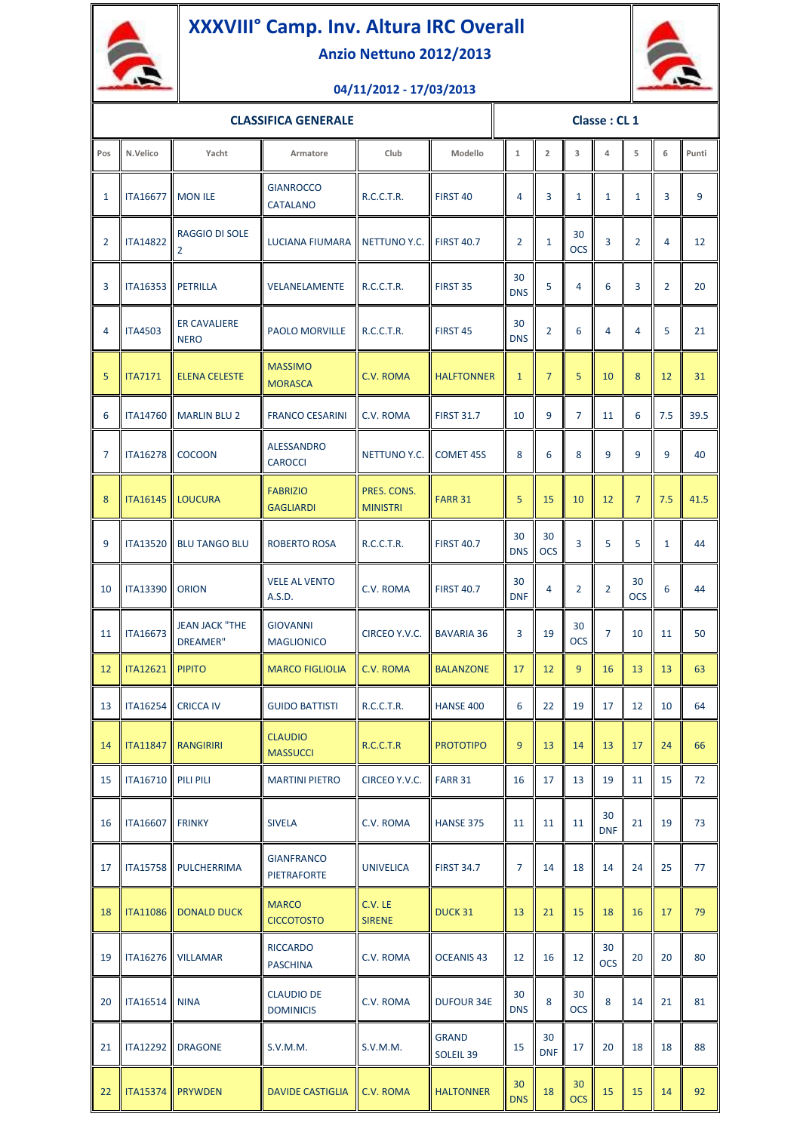

## **XXXVIII° Camp. Inv. Altura IRC Overall**

**Anzio Nettuno 2012/2013**



## **04/11/2012 - 17/03/2013**

| <b>CLASSIFICA GENERALE</b> |                             |                                          |                                         |                                | Classe: CL 1              |                  |                  |                  |                  |                  |                |       |
|----------------------------|-----------------------------|------------------------------------------|-----------------------------------------|--------------------------------|---------------------------|------------------|------------------|------------------|------------------|------------------|----------------|-------|
| Pos                        | N.Velico                    | Yacht                                    | Armatore                                | Club                           | Modello                   | $\mathbf{1}$     | $\overline{2}$   | 3                | 4                | 5                | 6              | Punti |
| 1                          | <b>ITA16677</b>             | <b>MON ILE</b>                           | <b>GIANROCCO</b><br><b>CATALANO</b>     | R.C.C.T.R.                     | FIRST <sub>40</sub>       | 4                | 3                | $\mathbf{1}$     | $\mathbf{1}$     | $\mathbf{1}$     | 3              | 9     |
| $\overline{2}$             | <b>ITA14822</b>             | <b>RAGGIO DI SOLE</b><br>$\overline{2}$  | LUCIANA FIUMARA                         | NETTUNO Y.C.                   | <b>FIRST 40.7</b>         | $\overline{2}$   | $\mathbf{1}$     | 30<br><b>OCS</b> | 3                | $\overline{2}$   | $\overline{4}$ | 12    |
| 3                          | <b>ITA16353</b>             | <b>PETRILLA</b>                          | VELANELAMENTE                           | R.C.C.T.R.                     | FIRST 35                  | 30<br><b>DNS</b> | 5                | 4                | 6                | 3                | $\overline{2}$ | 20    |
| $\overline{4}$             | <b>ITA4503</b>              | <b>ER CAVALIERE</b><br><b>NERO</b>       | <b>PAOLO MORVILLE</b>                   | R.C.C.T.R.                     | FIRST <sub>45</sub>       | 30<br><b>DNS</b> | 2                | 6                | 4                | 4                | 5              | 21    |
| 5                          | <b>ITA7171</b>              | <b>ELENA CELESTE</b>                     | <b>MASSIMO</b><br><b>MORASCA</b>        | C.V. ROMA                      | <b>HALFTONNER</b>         | $\mathbf{1}$     | $\overline{7}$   | 5                | 10               | 8                | 12             | 31    |
| 6                          | <b>ITA14760</b>             | <b>MARLIN BLU 2</b>                      | <b>FRANCO CESARINI</b>                  | C.V. ROMA                      | <b>FIRST 31.7</b>         | 10               | 9                | $\overline{7}$   | 11               | 6                | 7.5            | 39.5  |
| 7                          | <b>ITA16278</b>             | <b>COCOON</b>                            | <b>ALESSANDRO</b><br><b>CAROCCI</b>     | <b>NETTUNO Y.C.</b>            | <b>COMET 45S</b>          | 8                | 6                | 8                | 9                | 9                | 9              | 40    |
| 8                          | <b>ITA16145</b>             | LOUCURA                                  | <b>FABRIZIO</b><br><b>GAGLIARDI</b>     | PRES. CONS.<br><b>MINISTRI</b> | <b>FARR 31</b>            | 5                | 15               | 10               | 12               | $\overline{7}$   | 7.5            | 41.5  |
| 9                          | <b>ITA13520</b>             | <b>BLU TANGO BLU</b>                     | <b>ROBERTO ROSA</b>                     | R.C.C.T.R.                     | <b>FIRST 40.7</b>         | 30<br><b>DNS</b> | 30<br><b>OCS</b> | 3                | 5                | 5                | $\mathbf{1}$   | 44    |
| 10                         | <b>ITA13390</b>             | <b>ORION</b>                             | <b>VELE AL VENTO</b><br>A.S.D.          | C.V. ROMA                      | <b>FIRST 40.7</b>         | 30<br><b>DNF</b> | 4                | 2                | 2                | 30<br><b>OCS</b> | 6              | 44    |
| 11                         | <b>ITA16673</b>             | <b>JEAN JACK "THE</b><br><b>DREAMER"</b> | <b>GIOVANNI</b><br><b>MAGLIONICO</b>    | CIRCEO Y.V.C.                  | <b>BAVARIA 36</b>         | 3                | 19               | 30<br><b>OCS</b> | $\overline{7}$   | 10               | 11             | 50    |
| 12                         | <b>ITA12621</b>             | <b>PIPITO</b>                            | <b>MARCO FIGLIOLIA</b>                  | C.V. ROMA                      | <b>BALANZONE</b>          | 17               | 12               | 9                | 16               | 13               | 13             | 63    |
| 13                         |                             | ITA16254 CRICCA IV                       | <b>GUIDO BATTISTI</b>                   | R.C.C.T.R.                     | <b>HANSE 400</b>          | 6                | 22               | 19               | 17               | 12               | $10\,$         | 64    |
| 14                         |                             | ITA11847 RANGIRIRI                       | <b>CLAUDIO</b><br><b>MASSUCCI</b>       | R.C.C.T.R                      | <b>PROTOTIPO</b>          | 9                | 13               | 14               | 13               | 17               | 24             | 66    |
| 15                         | <b>ITA16710   PILI PILI</b> |                                          | <b>MARTINI PIETRO</b>                   | CIRCEO Y.V.C.                  | <b>FARR 31</b>            | 16               | 17               | 13               | 19               | 11               | 15             | 72    |
| 16                         | <b>ITA16607</b>             | <b>FRINKY</b>                            | <b>SIVELA</b>                           | C.V. ROMA                      | <b>HANSE 375</b>          | 11               | 11               | 11               | 30<br><b>DNF</b> | 21               | 19             | 73    |
| 17                         |                             | ITA15758 PULCHERRIMA                     | <b>GIANFRANCO</b><br><b>PIETRAFORTE</b> | <b>UNIVELICA</b>               | <b>FIRST 34.7</b>         | 7                | 14               | 18               | 14               | 24               | 25             | 77    |
| 18                         |                             | ITA11086 DONALD DUCK                     | <b>MARCO</b><br><b>CICCOTOSTO</b>       | C.V. LE<br><b>SIRENE</b>       | DUCK 31                   | 13               | 21               | 15               | 18               | 16               | 17             | 79    |
| 19                         |                             | ITA16276 VILLAMAR                        | <b>RICCARDO</b><br><b>PASCHINA</b>      | C.V. ROMA                      | <b>OCEANIS 43</b>         | 12               | 16               | 12               | 30<br><b>OCS</b> | 20               | 20             | 80    |
| 20                         | <b>ITA16514</b>             | <b>NINA</b>                              | <b>CLAUDIO DE</b><br><b>DOMINICIS</b>   | C.V. ROMA                      | <b>DUFOUR 34E</b>         | 30<br><b>DNS</b> | 8                | 30<br><b>OCS</b> | 8                | 14               | 21             | 81    |
| 21                         | <b>ITA12292</b>             | <b>DRAGONE</b>                           | S.V.M.M.                                | S.V.M.M.                       | <b>GRAND</b><br>SOLEIL 39 | 15               | 30<br><b>DNF</b> | 17               | 20               | 18               | 18             | 88    |
| 22                         |                             | <b>ITA15374 PRYWDEN</b>                  | <b>DAVIDE CASTIGLIA</b>                 | C.V. ROMA                      | <b>HALTONNER</b>          | 30<br><b>DNS</b> | 18               | 30<br><b>OCS</b> | 15               | 15               | 14             | 92    |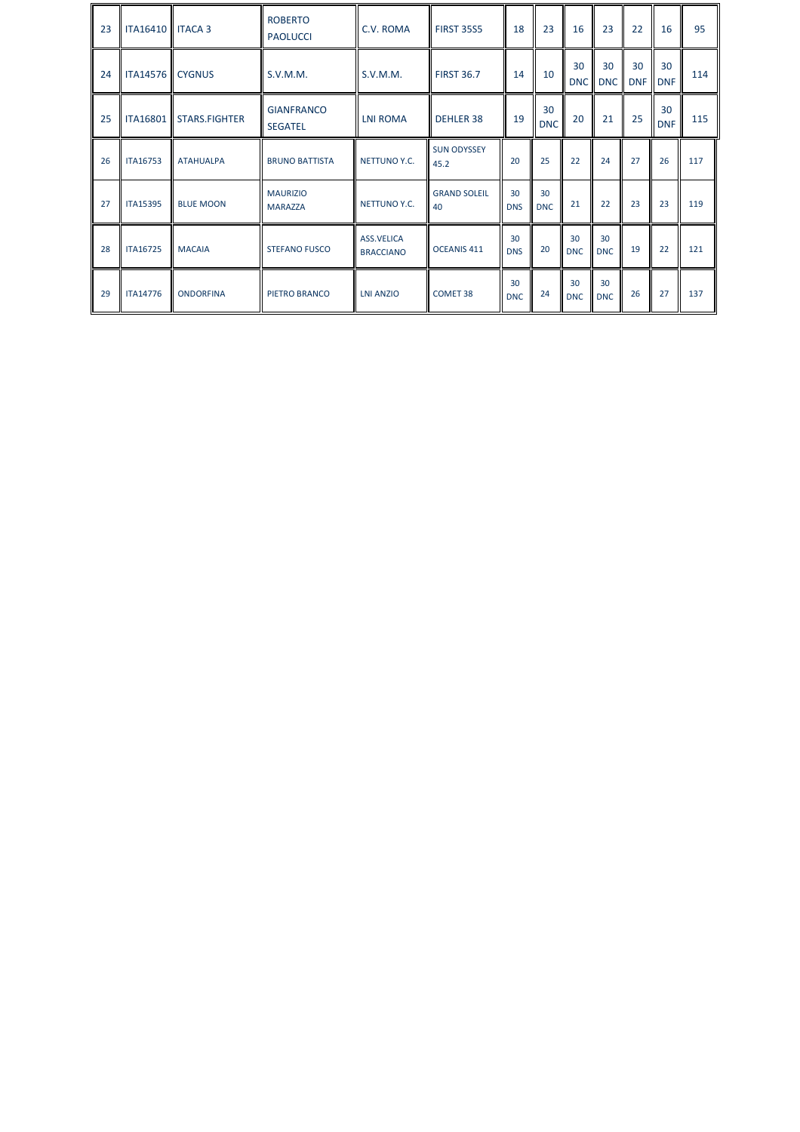| 23 | <b>ITA16410   ITACA 3</b> |                  | <b>ROBERTO</b><br><b>PAOLUCCI</b>   | C.V. ROMA                             | <b>FIRST 35S5</b>          | 18               | 23               | 16               | 23               | 22               | 16               | 95  |
|----|---------------------------|------------------|-------------------------------------|---------------------------------------|----------------------------|------------------|------------------|------------------|------------------|------------------|------------------|-----|
| 24 | <b>ITA14576 CYGNUS</b>    |                  | S.V.M.M.                            | S.V.M.M.                              | <b>FIRST 36.7</b>          | 14               | 10               | 30<br><b>DNC</b> | 30<br><b>DNC</b> | 30<br><b>DNF</b> | 30<br><b>DNF</b> | 114 |
| 25 | <b>ITA16801</b>           | STARS.FIGHTER    | <b>GIANFRANCO</b><br><b>SEGATEL</b> | <b>LNI ROMA</b>                       | <b>DEHLER 38</b>           | 19               | 30<br><b>DNC</b> | 20               | 21               | 25               | 30<br><b>DNF</b> | 115 |
| 26 | <b>ITA16753</b>           | <b>ATAHUALPA</b> | <b>BRUNO BATTISTA</b>               | NETTUNO Y.C.                          | <b>SUN ODYSSEY</b><br>45.2 | 20               | 25               | 22               | 24               | 27               | 26               | 117 |
| 27 | <b>ITA15395</b>           | <b>BLUE MOON</b> | <b>MAURIZIO</b><br><b>MARAZZA</b>   | NETTUNO Y.C.                          | <b>GRAND SOLEIL</b><br>40  | 30<br><b>DNS</b> | 30<br><b>DNC</b> | 21               | 22               | 23               | 23               | 119 |
| 28 | <b>ITA16725</b>           | <b>MACAIA</b>    | <b>STEFANO FUSCO</b>                | <b>ASS.VELICA</b><br><b>BRACCIANO</b> | OCEANIS <sub>411</sub>     | 30<br><b>DNS</b> | 20               | 30<br><b>DNC</b> | 30<br><b>DNC</b> | 19               | 22               | 121 |
| 29 | <b>ITA14776</b>           | <b>ONDORFINA</b> | PIETRO BRANCO                       | <b>LNI ANZIO</b>                      | <b>COMET 38</b>            | 30<br><b>DNC</b> | 24               | 30<br><b>DNC</b> | 30<br><b>DNC</b> | 26               | 27               | 137 |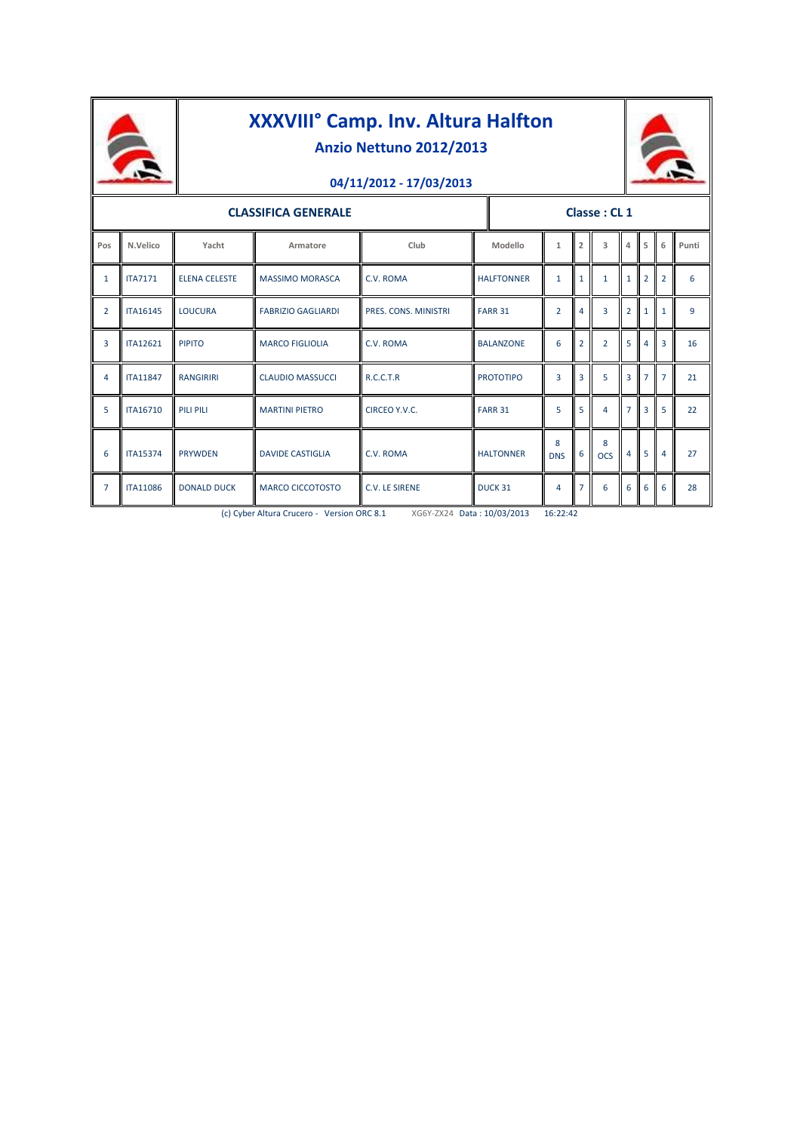

## **XXXVIII° Camp. Inv. Altura Halfton Anzio Nettuno 2012/2013**





| <b>CLASSIFICA GENERALE</b> |                 |                      |                           |                             |                   | Classe: CL 1    |                |                         |                |                |                |       |  |
|----------------------------|-----------------|----------------------|---------------------------|-----------------------------|-------------------|-----------------|----------------|-------------------------|----------------|----------------|----------------|-------|--|
| Pos                        | N.Velico        | Yacht                | Armatore                  | Club                        | Modello           | $\mathbf{1}$    | $\overline{2}$ | $\overline{\mathbf{3}}$ | $\Delta$       | 5              | 6              | Punti |  |
| $\mathbf{1}$               | <b>ITA7171</b>  | <b>ELENA CELESTE</b> | <b>MASSIMO MORASCA</b>    | C.V. ROMA                   | <b>HALFTONNER</b> | $\mathbf{1}$    | $\mathbf{1}$   | $\mathbf{1}$            | $\mathbf{1}$   | $\overline{2}$ | $\overline{2}$ | 6     |  |
| $\overline{2}$             | <b>ITA16145</b> | <b>LOUCURA</b>       | <b>FABRIZIO GAGLIARDI</b> | <b>PRES. CONS. MINISTRI</b> | <b>FARR 31</b>    | $\overline{2}$  | 4              | $\overline{3}$          | $\overline{2}$ | $\mathbf{1}$   | $\mathbf{1}$   | 9     |  |
| 3                          | <b>ITA12621</b> | <b>PIPITO</b>        | <b>MARCO FIGLIOLIA</b>    | C.V. ROMA                   | <b>BALANZONE</b>  | 6               | $\overline{2}$ | $\overline{2}$          | 5              | 4              | 3              | 16    |  |
| $\overline{4}$             | <b>ITA11847</b> | <b>RANGIRIRI</b>     | <b>CLAUDIO MASSUCCI</b>   | R.C.C.T.R                   | <b>PROTOTIPO</b>  | $\overline{3}$  | 3              | 5                       | $\overline{3}$ | $\overline{7}$ | $\overline{7}$ | 21    |  |
| 5                          | <b>ITA16710</b> | <b>PILI PILI</b>     | <b>MARTINI PIETRO</b>     | CIRCEO Y.V.C.               | <b>FARR 31</b>    | 5               | 5              | $\overline{a}$          | $\overline{7}$ | $\overline{3}$ | 5              | 22    |  |
| 6                          | <b>ITA15374</b> | <b>PRYWDEN</b>       | <b>DAVIDE CASTIGLIA</b>   | C.V. ROMA                   | <b>HALTONNER</b>  | 8<br><b>DNS</b> | 6              | 8<br><b>OCS</b>         | $\overline{4}$ | 5              | $\overline{a}$ | 27    |  |
| $\overline{7}$             | <b>ITA11086</b> | <b>DONALD DUCK</b>   | <b>MARCO CICCOTOSTO</b>   | <b>C.V. LE SIRENE</b>       | DUCK 31           | 4               | $\overline{7}$ | 6                       | 6              | 6              | 6              | 28    |  |

(c) Cyber Altura Crucero - Version ORC 8.1 XG6Y-ZX24 Data : 10/03/2013 16:22:42